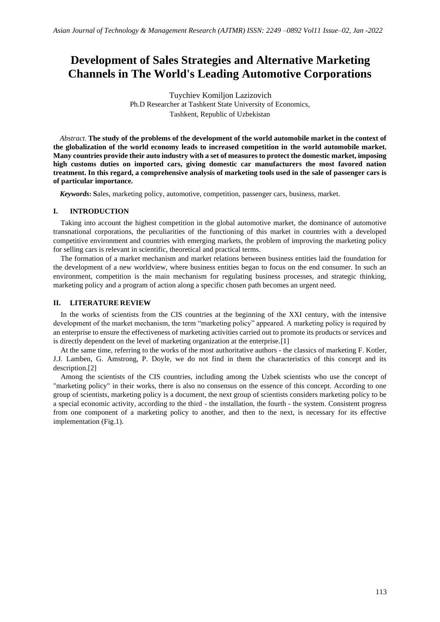# **Development of Sales Strategies and Alternative Marketing Channels in The World's Leading Automotive Corporations**

Tuychiev Komiljon Lazizovich Ph.D Researcher at Tashkent State University of Economics, Tashkent, Republic of Uzbekistan

*Abstract*. **The study of the problems of the development of the world automobile market in the context of the globalization of the world economy leads to increased competition in the world automobile market. Many countries provide their auto industry with a set of measures to protect the domestic market, imposing high customs duties on imported cars, giving domestic car manufacturers the most favored nation treatment. In this regard, a comprehensive analysis of marketing tools used in the sale of passenger cars is of particular importance.**

*Keywords***: S**ales, marketing policy, automotive, competition, passenger cars, business, market.

#### **I. INTRODUCTION**

Taking into account the highest competition in the global automotive market, the dominance of automotive transnational corporations, the peculiarities of the functioning of this market in countries with a developed competitive environment and countries with emerging markets, the problem of improving the marketing policy for selling cars is relevant in scientific, theoretical and practical terms.

The formation of a market mechanism and market relations between business entities laid the foundation for the development of a new worldview, where business entities began to focus on the end consumer. In such an environment, competition is the main mechanism for regulating business processes, and strategic thinking, marketing policy and a program of action along a specific chosen path becomes an urgent need.

## **II. LITERATURE REVIEW**

In the works of scientists from the CIS countries at the beginning of the XXI century, with the intensive development of the market mechanism, the term "marketing policy" appeared. A marketing policy is required by an enterprise to ensure the effectiveness of marketing activities carried out to promote its products or services and is directly dependent on the level of marketing organization at the enterprise.[1]

At the same time, referring to the works of the most authoritative authors - the classics of marketing F. Kotler, J.J. Lamben, G. Amstrong, P. Doyle, we do not find in them the characteristics of this concept and its description.[2]

Among the scientists of the CIS countries, including among the Uzbek scientists who use the concept of "marketing policy" in their works, there is also no consensus on the essence of this concept. According to one group of scientists, marketing policy is a document, the next group of scientists considers marketing policy to be a special economic activity, according to the third - the installation, the fourth - the system. Consistent progress from one component of a marketing policy to another, and then to the next, is necessary for its effective implementation (Fig.1).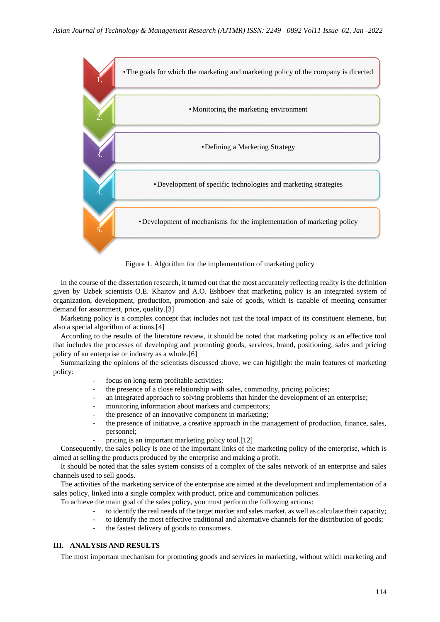



In the course of the dissertation research, it turned out that the most accurately reflecting reality is the definition given by Uzbek scientists O.E. Khaitov and A.O. Eshboev that marketing policy is an integrated system of organization, development, production, promotion and sale of goods, which is capable of meeting consumer demand for assortment, price, quality.[3]

Marketing policy is a complex concept that includes not just the total impact of its constituent elements, but also a special algorithm of actions.[4]

According to the results of the literature review, it should be noted that marketing policy is an effective tool that includes the processes of developing and promoting goods, services, brand, positioning, sales and pricing policy of an enterprise or industry as a whole.[6]

Summarizing the opinions of the scientists discussed above, we can highlight the main features of marketing policy:

- focus on long-term profitable activities;
- the presence of a close relationship with sales, commodity, pricing policies;
- an integrated approach to solving problems that hinder the development of an enterprise;
- monitoring information about markets and competitors;
- the presence of an innovative component in marketing;
- the presence of initiative, a creative approach in the management of production, finance, sales, personnel;
- pricing is an important marketing policy tool.[12]

Consequently, the sales policy is one of the important links of the marketing policy of the enterprise, which is aimed at selling the products produced by the enterprise and making a profit.

It should be noted that the sales system consists of a complex of the sales network of an enterprise and sales channels used to sell goods.

The activities of the marketing service of the enterprise are aimed at the development and implementation of a sales policy, linked into a single complex with product, price and communication policies.

To achieve the main goal of the sales policy, you must perform the following actions:

- to identify the real needs of the target market and sales market, as well as calculate their capacity;
- to identify the most effective traditional and alternative channels for the distribution of goods;
- the fastest delivery of goods to consumers.

#### **III. ANALYSIS AND RESULTS**

The most important mechanism for promoting goods and services in marketing, without which marketing and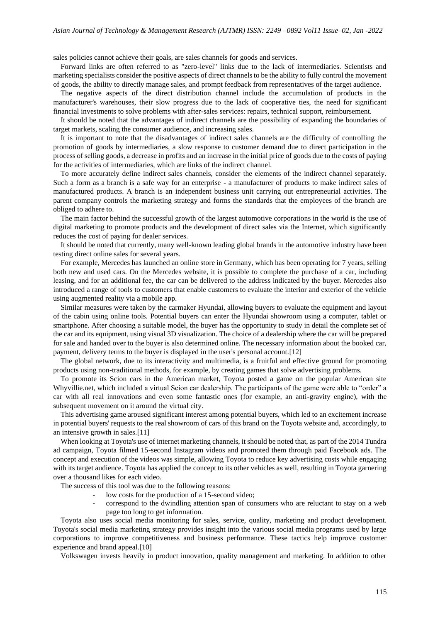sales policies cannot achieve their goals, are sales channels for goods and services.

Forward links are often referred to as "zero-level" links due to the lack of intermediaries. Scientists and marketing specialists consider the positive aspects of direct channels to be the ability to fully control the movement of goods, the ability to directly manage sales, and prompt feedback from representatives of the target audience.

The negative aspects of the direct distribution channel include the accumulation of products in the manufacturer's warehouses, their slow progress due to the lack of cooperative ties, the need for significant financial investments to solve problems with after-sales services: repairs, technical support, reimbursement.

It should be noted that the advantages of indirect channels are the possibility of expanding the boundaries of target markets, scaling the consumer audience, and increasing sales.

It is important to note that the disadvantages of indirect sales channels are the difficulty of controlling the promotion of goods by intermediaries, a slow response to customer demand due to direct participation in the process of selling goods, a decrease in profits and an increase in the initial price of goods due to the costs of paying for the activities of intermediaries, which are links of the indirect channel.

To more accurately define indirect sales channels, consider the elements of the indirect channel separately. Such a form as a branch is a safe way for an enterprise - a manufacturer of products to make indirect sales of manufactured products. A branch is an independent business unit carrying out entrepreneurial activities. The parent company controls the marketing strategy and forms the standards that the employees of the branch are obliged to adhere to.

The main factor behind the successful growth of the largest automotive corporations in the world is the use of digital marketing to promote products and the development of direct sales via the Internet, which significantly reduces the cost of paying for dealer services.

It should be noted that currently, many well-known leading global brands in the automotive industry have been testing direct online sales for several years.

For example, Mercedes has launched an online store in Germany, which has been operating for 7 years, selling both new and used cars. On the Mercedes website, it is possible to complete the purchase of a car, including leasing, and for an additional fee, the car can be delivered to the address indicated by the buyer. Mercedes also introduced a range of tools to customers that enable customers to evaluate the interior and exterior of the vehicle using augmented reality via a mobile app.

Similar measures were taken by the carmaker Hyundai, allowing buyers to evaluate the equipment and layout of the cabin using online tools. Potential buyers can enter the Hyundai showroom using a computer, tablet or smartphone. After choosing a suitable model, the buyer has the opportunity to study in detail the complete set of the car and its equipment, using visual 3D visualization. The choice of a dealership where the car will be prepared for sale and handed over to the buyer is also determined online. The necessary information about the booked car, payment, delivery terms to the buyer is displayed in the user's personal account.[12]

The global network, due to its interactivity and multimedia, is a fruitful and effective ground for promoting products using non-traditional methods, for example, by creating games that solve advertising problems.

To promote its Scion cars in the American market, Toyota posted a game on the popular American site Whyvillie.net, which included a virtual Scion car dealership. The participants of the game were able to "order" a car with all real innovations and even some fantastic ones (for example, an anti-gravity engine), with the subsequent movement on it around the virtual city.

This advertising game aroused significant interest among potential buyers, which led to an excitement increase in potential buyers' requests to the real showroom of cars of this brand on the Toyota website and, accordingly, to an intensive growth in sales.[11]

When looking at Toyota's use of internet marketing channels, it should be noted that, as part of the 2014 Tundra ad campaign, Toyota filmed 15-second Instagram videos and promoted them through paid Facebook ads. The concept and execution of the videos was simple, allowing Toyota to reduce key advertising costs while engaging with its target audience. Toyota has applied the concept to its other vehicles as well, resulting in Toyota garnering over a thousand likes for each video.

The success of this tool was due to the following reasons:

- low costs for the production of a 15-second video;
- correspond to the dwindling attention span of consumers who are reluctant to stay on a web page too long to get information.

Toyota also uses social media monitoring for sales, service, quality, marketing and product development. Toyota's social media marketing strategy provides insight into the various social media programs used by large corporations to improve competitiveness and business performance. These tactics help improve customer experience and brand appeal.[10]

Volkswagen invests heavily in product innovation, quality management and marketing. In addition to other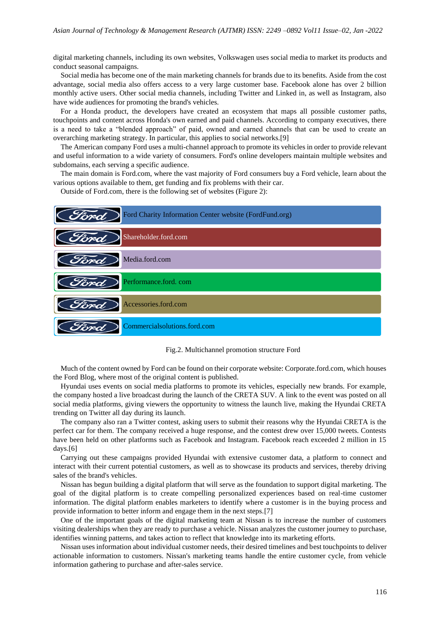digital marketing channels, including its own websites, Volkswagen uses social media to market its products and conduct seasonal campaigns.

Social media has become one of the main marketing channels for brands due to its benefits. Aside from the cost advantage, social media also offers access to a very large customer base. Facebook alone has over 2 billion monthly active users. Other social media channels, including Twitter and Linked in, as well as Instagram, also have wide audiences for promoting the brand's vehicles.

For a Honda product, the developers have created an ecosystem that maps all possible customer paths, touchpoints and content across Honda's own earned and paid channels. According to company executives, there is a need to take a "blended approach" of paid, owned and earned channels that can be used to create an overarching marketing strategy. In particular, this applies to social networks.[9]

The American company Ford uses a multi-channel approach to promote its vehicles in order to provide relevant and useful information to a wide variety of consumers. Ford's online developers maintain multiple websites and subdomains, each serving a specific audience.

The main domain is Ford.com, where the vast majority of Ford consumers buy a Ford vehicle, learn about the various options available to them, get funding and fix problems with their car.

Outside of Ford.com, there is the following set of websites (Figure 2):



Fig.2. Multichannel promotion structure Ford

Much of the content owned by Ford can be found on their corporate website: Corporate.ford.com, which houses the Ford Blog, where most of the original content is published.

Hyundai uses events on social media platforms to promote its vehicles, especially new brands. For example, the company hosted a live broadcast during the launch of the CRETA SUV. A link to the event was posted on all social media platforms, giving viewers the opportunity to witness the launch live, making the Hyundai CRETA trending on Twitter all day during its launch.

The company also ran a Twitter contest, asking users to submit their reasons why the Hyundai CRETA is the perfect car for them. The company received a huge response, and the contest drew over 15,000 tweets. Contests have been held on other platforms such as Facebook and Instagram. Facebook reach exceeded 2 million in 15 days.[6]

Carrying out these campaigns provided Hyundai with extensive customer data, a platform to connect and interact with their current potential customers, as well as to showcase its products and services, thereby driving sales of the brand's vehicles.

Nissan has begun building a digital platform that will serve as the foundation to support digital marketing. The goal of the digital platform is to create compelling personalized experiences based on real-time customer information. The digital platform enables marketers to identify where a customer is in the buying process and provide information to better inform and engage them in the next steps.[7]

One of the important goals of the digital marketing team at Nissan is to increase the number of customers visiting dealerships when they are ready to purchase a vehicle. Nissan analyzes the customer journey to purchase, identifies winning patterns, and takes action to reflect that knowledge into its marketing efforts.

Nissan uses information about individual customer needs, their desired timelines and best touchpoints to deliver actionable information to customers. Nissan's marketing teams handle the entire customer cycle, from vehicle information gathering to purchase and after-sales service.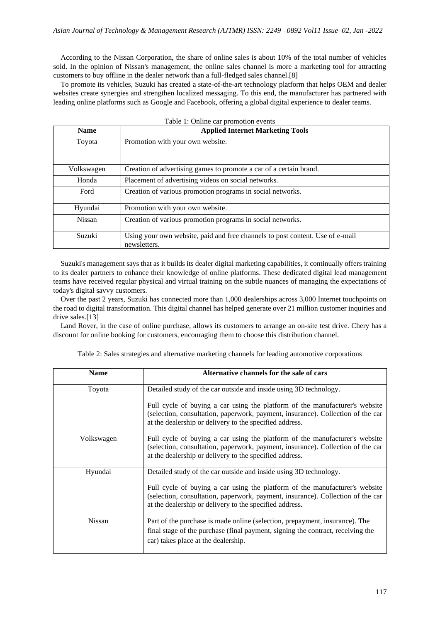According to the Nissan Corporation, the share of online sales is about 10% of the total number of vehicles sold. In the opinion of Nissan's management, the online sales channel is more a marketing tool for attracting customers to buy offline in the dealer network than a full-fledged sales channel.[8]

To promote its vehicles, Suzuki has created a state-of-the-art technology platform that helps OEM and dealer websites create synergies and strengthen localized messaging. To this end, the manufacturer has partnered with leading online platforms such as Google and Facebook, offering a global digital experience to dealer teams.

| Table 1: Online car promotion events |                                                                                               |  |  |  |  |  |
|--------------------------------------|-----------------------------------------------------------------------------------------------|--|--|--|--|--|
| <b>Name</b>                          | <b>Applied Internet Marketing Tools</b>                                                       |  |  |  |  |  |
| Toyota                               | Promotion with your own website.                                                              |  |  |  |  |  |
| Volkswagen                           | Creation of advertising games to promote a car of a certain brand.                            |  |  |  |  |  |
| Honda                                | Placement of advertising videos on social networks.                                           |  |  |  |  |  |
| Ford                                 | Creation of various promotion programs in social networks.                                    |  |  |  |  |  |
| Hyundai                              | Promotion with your own website.                                                              |  |  |  |  |  |
| <b>Nissan</b>                        | Creation of various promotion programs in social networks.                                    |  |  |  |  |  |
| Suzuki                               | Using your own website, paid and free channels to post content. Use of e-mail<br>newsletters. |  |  |  |  |  |

Suzuki's management says that as it builds its dealer digital marketing capabilities, it continually offers training to its dealer partners to enhance their knowledge of online platforms. These dedicated digital lead management teams have received regular physical and virtual training on the subtle nuances of managing the expectations of today's digital savvy customers.

Over the past 2 years, Suzuki has connected more than 1,000 dealerships across 3,000 Internet touchpoints on the road to digital transformation. This digital channel has helped generate over 21 million customer inquiries and drive sales.[13]

Land Rover, in the case of online purchase, allows its customers to arrange an on-site test drive. Chery has a discount for online booking for customers, encouraging them to choose this distribution channel.

| <b>Name</b>   | Alternative channels for the sale of cars                                                                                                                                                                                 |  |  |  |  |  |
|---------------|---------------------------------------------------------------------------------------------------------------------------------------------------------------------------------------------------------------------------|--|--|--|--|--|
| Toyota        | Detailed study of the car outside and inside using 3D technology.                                                                                                                                                         |  |  |  |  |  |
|               | Full cycle of buying a car using the platform of the manufacturer's website<br>(selection, consultation, paperwork, payment, insurance). Collection of the car<br>at the dealership or delivery to the specified address. |  |  |  |  |  |
| Volkswagen    | Full cycle of buying a car using the platform of the manufacturer's website<br>(selection, consultation, paperwork, payment, insurance). Collection of the car<br>at the dealership or delivery to the specified address. |  |  |  |  |  |
| Hyundai       | Detailed study of the car outside and inside using 3D technology.                                                                                                                                                         |  |  |  |  |  |
|               | Full cycle of buying a car using the platform of the manufacturer's website<br>(selection, consultation, paperwork, payment, insurance). Collection of the car<br>at the dealership or delivery to the specified address. |  |  |  |  |  |
| <b>Nissan</b> | Part of the purchase is made online (selection, prepayment, insurance). The<br>final stage of the purchase (final payment, signing the contract, receiving the                                                            |  |  |  |  |  |
|               | car) takes place at the dealership.                                                                                                                                                                                       |  |  |  |  |  |

Table 2: Sales strategies and alternative marketing channels for leading automotive corporations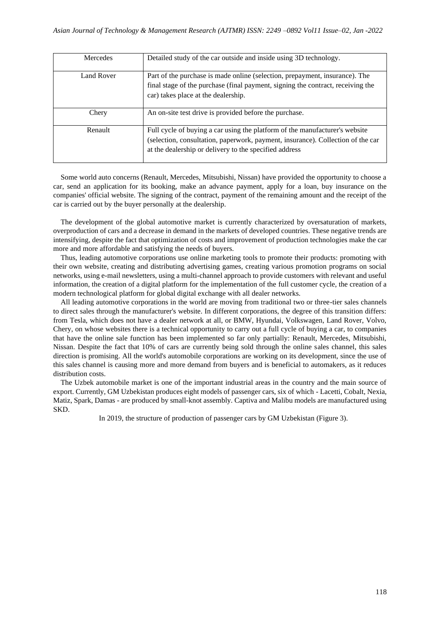| <b>Mercedes</b> | Detailed study of the car outside and inside using 3D technology.                                                                                                                                                        |
|-----------------|--------------------------------------------------------------------------------------------------------------------------------------------------------------------------------------------------------------------------|
| Land Rover      | Part of the purchase is made online (selection, prepayment, insurance). The<br>final stage of the purchase (final payment, signing the contract, receiving the<br>car) takes place at the dealership.                    |
| Chery           | An on-site test drive is provided before the purchase.                                                                                                                                                                   |
| Renault         | Full cycle of buying a car using the platform of the manufacturer's website<br>(selection, consultation, paperwork, payment, insurance). Collection of the car<br>at the dealership or delivery to the specified address |

Some world auto concerns (Renault, Mercedes, Mitsubishi, Nissan) have provided the opportunity to choose a car, send an application for its booking, make an advance payment, apply for a loan, buy insurance on the companies' official website. The signing of the contract, payment of the remaining amount and the receipt of the car is carried out by the buyer personally at the dealership.

The development of the global automotive market is currently characterized by oversaturation of markets, overproduction of cars and a decrease in demand in the markets of developed countries. These negative trends are intensifying, despite the fact that optimization of costs and improvement of production technologies make the car more and more affordable and satisfying the needs of buyers.

Thus, leading automotive corporations use online marketing tools to promote their products: promoting with their own website, creating and distributing advertising games, creating various promotion programs on social networks, using e-mail newsletters, using a multi-channel approach to provide customers with relevant and useful information, the creation of a digital platform for the implementation of the full customer cycle, the creation of a modern technological platform for global digital exchange with all dealer networks.

All leading automotive corporations in the world are moving from traditional two or three-tier sales channels to direct sales through the manufacturer's website. In different corporations, the degree of this transition differs: from Tesla, which does not have a dealer network at all, or BMW, Hyundai, Volkswagen, Land Rover, Volvo, Chery, on whose websites there is a technical opportunity to carry out a full cycle of buying a car, to companies that have the online sale function has been implemented so far only partially: Renault, Mercedes, Mitsubishi, Nissan. Despite the fact that 10% of cars are currently being sold through the online sales channel, this sales direction is promising. All the world's automobile corporations are working on its development, since the use of this sales channel is causing more and more demand from buyers and is beneficial to automakers, as it reduces distribution costs.

The Uzbek automobile market is one of the important industrial areas in the country and the main source of export. Currently, GM Uzbekistan produces eight models of passenger cars, six of which - Lacetti, Cobalt, Nexia, Matiz, Spark, Damas - are produced by small-knot assembly. Captiva and Malibu models are manufactured using SKD.

In 2019, the structure of production of passenger cars by GM Uzbekistan (Figure 3).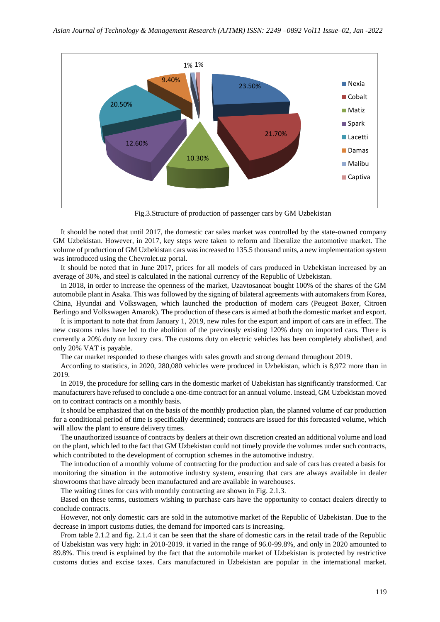

Fig.3.Structure of production of passenger cars by GM Uzbekistan

It should be noted that until 2017, the domestic car sales market was controlled by the state-owned company GM Uzbekistan. However, in 2017, key steps were taken to reform and liberalize the automotive market. The volume of production of GM Uzbekistan cars was increased to 135.5 thousand units, a new implementation system was introduced using the Chevrolet.uz portal.

It should be noted that in June 2017, prices for all models of cars produced in Uzbekistan increased by an average of 30%, and steel is calculated in the national currency of the Republic of Uzbekistan.

In 2018, in order to increase the openness of the market, Uzavtosanoat bought 100% of the shares of the GM automobile plant in Asaka. This was followed by the signing of bilateral agreements with automakers from Korea, China, Hyundai and Volkswagen, which launched the production of modern cars (Peugeot Boxer, Citroen Berlingo and Volkswagen Amarok). The production of these cars is aimed at both the domestic market and export.

It is important to note that from January 1, 2019, new rules for the export and import of cars are in effect. The new customs rules have led to the abolition of the previously existing 120% duty on imported cars. There is currently a 20% duty on luxury cars. The customs duty on electric vehicles has been completely abolished, and only 20% VAT is payable.

The car market responded to these changes with sales growth and strong demand throughout 2019.

According to statistics, in 2020, 280,080 vehicles were produced in Uzbekistan, which is 8,972 more than in 2019.

In 2019, the procedure for selling cars in the domestic market of Uzbekistan has significantly transformed. Car manufacturers have refused to conclude a one-time contract for an annual volume. Instead, GM Uzbekistan moved on to contract contracts on a monthly basis.

It should be emphasized that on the basis of the monthly production plan, the planned volume of car production for a conditional period of time is specifically determined; contracts are issued for this forecasted volume, which will allow the plant to ensure delivery times.

The unauthorized issuance of contracts by dealers at their own discretion created an additional volume and load on the plant, which led to the fact that GM Uzbekistan could not timely provide the volumes under such contracts, which contributed to the development of corruption schemes in the automotive industry.

The introduction of a monthly volume of contracting for the production and sale of cars has created a basis for monitoring the situation in the automotive industry system, ensuring that cars are always available in dealer showrooms that have already been manufactured and are available in warehouses.

The waiting times for cars with monthly contracting are shown in Fig. 2.1.3.

Based on these terms, customers wishing to purchase cars have the opportunity to contact dealers directly to conclude contracts.

However, not only domestic cars are sold in the automotive market of the Republic of Uzbekistan. Due to the decrease in import customs duties, the demand for imported cars is increasing.

From table 2.1.2 and fig. 2.1.4 it can be seen that the share of domestic cars in the retail trade of the Republic of Uzbekistan was very high: in 2010-2019. it varied in the range of 96.0-99.8%, and only in 2020 amounted to 89.8%. This trend is explained by the fact that the automobile market of Uzbekistan is protected by restrictive customs duties and excise taxes. Cars manufactured in Uzbekistan are popular in the international market.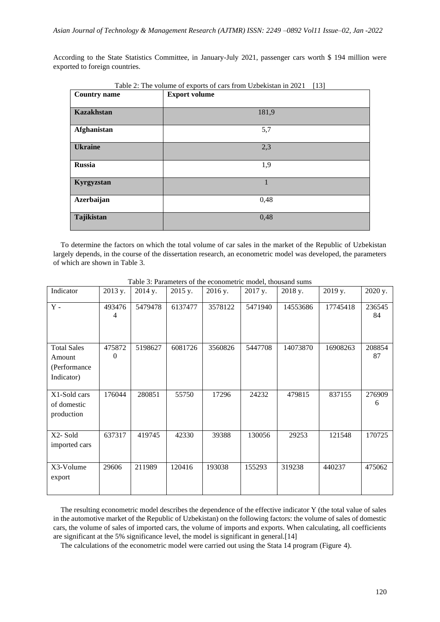According to the State Statistics Committee, in January-July 2021, passenger cars worth \$ 194 million were exported to foreign countries.

| Table 2: The volume of exports of cars from Uzbekistan in 2021<br>$[13]$ |                      |  |  |  |  |  |  |
|--------------------------------------------------------------------------|----------------------|--|--|--|--|--|--|
| <b>Country name</b>                                                      | <b>Export volume</b> |  |  |  |  |  |  |
|                                                                          |                      |  |  |  |  |  |  |
| <b>Kazakhstan</b>                                                        | 181,9                |  |  |  |  |  |  |
| Afghanistan                                                              | 5,7                  |  |  |  |  |  |  |
| <b>Ukraine</b>                                                           | 2,3                  |  |  |  |  |  |  |
| <b>Russia</b>                                                            | 1,9                  |  |  |  |  |  |  |
| Kyrgyzstan                                                               | 1                    |  |  |  |  |  |  |
| Azerbaijan                                                               | 0,48                 |  |  |  |  |  |  |
| Tajikistan                                                               | 0,48                 |  |  |  |  |  |  |

To determine the factors on which the total volume of car sales in the market of the Republic of Uzbekistan largely depends, in the course of the dissertation research, an econometric model was developed, the parameters of which are shown in Table 3.

| Indicator                                                  | 2013 y.            | 2014 y. | 2015 y. | 2016 y. | 2017 y. | 2018 y.  | 2019 y.  | 2020 y.      |
|------------------------------------------------------------|--------------------|---------|---------|---------|---------|----------|----------|--------------|
| $\mathbf Y$ -                                              | 493476<br>4        | 5479478 | 6137477 | 3578122 | 5471940 | 14553686 | 17745418 | 236545<br>84 |
| <b>Total Sales</b><br>Amount<br>(Performance<br>Indicator) | 475872<br>$\Omega$ | 5198627 | 6081726 | 3560826 | 5447708 | 14073870 | 16908263 | 208854<br>87 |
| X1-Sold cars<br>of domestic<br>production                  | 176044             | 280851  | 55750   | 17296   | 24232   | 479815   | 837155   | 276909<br>6  |
| X2-Sold<br>imported cars                                   | 637317             | 419745  | 42330   | 39388   | 130056  | 29253    | 121548   | 170725       |
| X3-Volume<br>export                                        | 29606              | 211989  | 120416  | 193038  | 155293  | 319238   | 440237   | 475062       |

Table 3: Parameters of the econometric model, thousand sums

The resulting econometric model describes the dependence of the effective indicator Y (the total value of sales in the automotive market of the Republic of Uzbekistan) on the following factors: the volume of sales of domestic cars, the volume of sales of imported cars, the volume of imports and exports. When calculating, all coefficients are significant at the 5% significance level, the model is significant in general.[14]

The calculations of the econometric model were carried out using the Stata 14 program (Figure 4).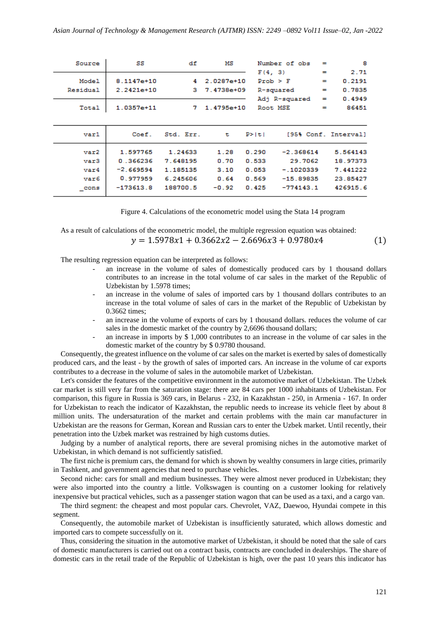| Source           | SS             | df        | мs           |              | Number of obs | $=$      | 8                    |
|------------------|----------------|-----------|--------------|--------------|---------------|----------|----------------------|
|                  |                |           |              | F(4, 3)      |               | =        | 2.71                 |
| Model            | $8.1147e + 10$ | 4         | $2.0287e+10$ | $Prob$ > $F$ |               | $\equiv$ | 0.2191               |
| Residual         | $2.2421e+10$   | з         | 7.4738e+09   |              | R-squared     | $=$      | 0.7835               |
|                  |                |           |              |              | Adj R-squared | $=$      | 0.4949               |
| Total            | $1.0357e+11$   | 7         | $1.4795e+10$ | Root MSE     |               | =        | 86451                |
|                  |                |           |              |              |               |          |                      |
| var1             | Coef.          | Std. Err. | t.           | P >  t       |               |          | [95% Conf. Interval] |
| var2             | 1.597765       | 1.24633   | 1.28         | 0.290        | $-2.368614$   |          | 5.564143             |
| var3             | 0.366236       | 7.648195  | 0.70         | 0.533        | 29.7062       |          | 18.97373             |
| $\texttt{var4}$  | $-2.669594$    | 1.185135  | 3.10         | 0.053        | $-.1020339$   |          | 7.441222             |
| var6             | 0.977959       | 6.245606  | 0.64         | 0.569        | $-15.89835$   |          | 23.85427             |
| $_{\text{cons}}$ | $-173613.8$    | 188700.5  | $-0.92$      | 0.425        | $-774143.1$   |          | 426915.6             |

| Figure 4. Calculations of the econometric model using the Stata 14 program |  |  |
|----------------------------------------------------------------------------|--|--|
|                                                                            |  |  |

As a result of calculations of the econometric model, the multiple regression equation was obtained:  $y = 1.5978x1 + 0.3662x2 - 2.6696x3 + 0.9780x4$  (1)

The resulting regression equation can be interpreted as follows:

- an increase in the volume of sales of domestically produced cars by 1 thousand dollars contributes to an increase in the total volume of car sales in the market of the Republic of Uzbekistan by 1.5978 times;
- an increase in the volume of sales of imported cars by 1 thousand dollars contributes to an increase in the total volume of sales of cars in the market of the Republic of Uzbekistan by 0.3662 times;
- an increase in the volume of exports of cars by 1 thousand dollars. reduces the volume of car sales in the domestic market of the country by 2,6696 thousand dollars;
- an increase in imports by  $$ 1,000$  contributes to an increase in the volume of car sales in the domestic market of the country by \$ 0.9780 thousand.

Consequently, the greatest influence on the volume of car sales on the market is exerted by sales of domestically produced cars, and the least - by the growth of sales of imported cars. An increase in the volume of car exports contributes to a decrease in the volume of sales in the automobile market of Uzbekistan.

Let's consider the features of the competitive environment in the automotive market of Uzbekistan. The Uzbek car market is still very far from the saturation stage: there are 84 cars per 1000 inhabitants of Uzbekistan. For comparison, this figure in Russia is 369 cars, in Belarus - 232, in Kazakhstan - 250, in Armenia - 167. In order for Uzbekistan to reach the indicator of Kazakhstan, the republic needs to increase its vehicle fleet by about 8 million units. The undersaturation of the market and certain problems with the main car manufacturer in Uzbekistan are the reasons for German, Korean and Russian cars to enter the Uzbek market. Until recently, their penetration into the Uzbek market was restrained by high customs duties.

Judging by a number of analytical reports, there are several promising niches in the automotive market of Uzbekistan, in which demand is not sufficiently satisfied.

The first niche is premium cars, the demand for which is shown by wealthy consumers in large cities, primarily in Tashkent, and government agencies that need to purchase vehicles.

Second niche: cars for small and medium businesses. They were almost never produced in Uzbekistan; they were also imported into the country a little. Volkswagen is counting on a customer looking for relatively inexpensive but practical vehicles, such as a passenger station wagon that can be used as a taxi, and a cargo van.

The third segment: the cheapest and most popular cars. Chevrolet, VAZ, Daewoo, Hyundai compete in this segment.

Consequently, the automobile market of Uzbekistan is insufficiently saturated, which allows domestic and imported cars to compete successfully on it.

Thus, considering the situation in the automotive market of Uzbekistan, it should be noted that the sale of cars of domestic manufacturers is carried out on a contract basis, contracts are concluded in dealerships. The share of domestic cars in the retail trade of the Republic of Uzbekistan is high, over the past 10 years this indicator has